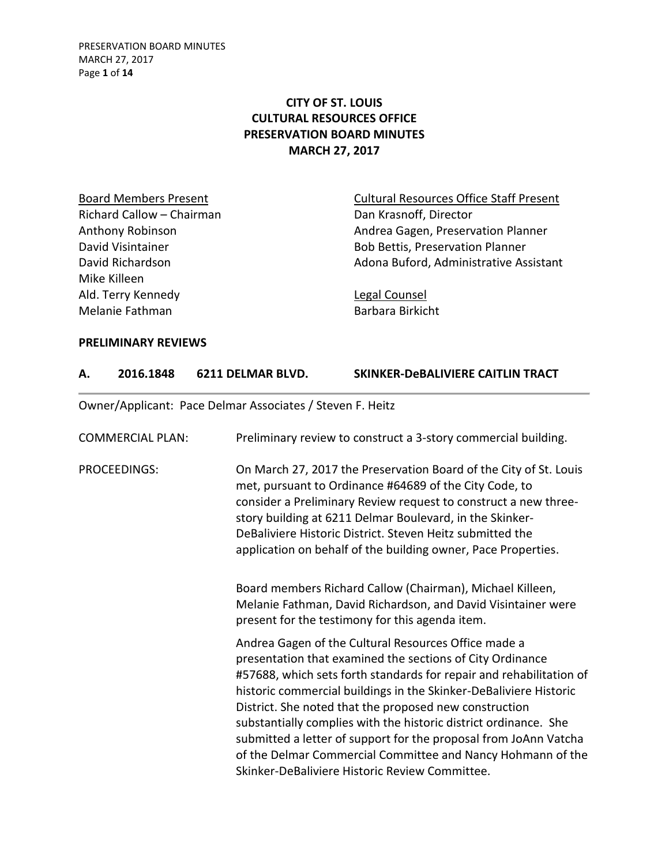PRESERVATION BOARD MINUTES MARCH 27, 2017 Page **1** of **14**

## **CITY OF ST. LOUIS CULTURAL RESOURCES OFFICE PRESERVATION BOARD MINUTES MARCH 27, 2017**

Richard Callow – Chairman Dan Krasnoff, Director Mike Killeen Ald. Terry Kennedy **Legal Counsel** Melanie Fathman Barbara Birkicht

Board Members Present **Cultural Resources Office Staff Present** Anthony Robinson **Anthony Robinson** Andrea Gagen, Preservation Planner David Visintainer **Bob Bettis, Preservation Planner** Bob Bettis, Preservation Planner David Richardson **Adona Buford, Administrative Assistant** 

### **PRELIMINARY REVIEWS**

| 2016.1848 | 6211 DELMAR BLVD. | SKINKER-DeBALIVIERE CAITLIN TRACT |
|-----------|-------------------|-----------------------------------|
|           |                   |                                   |

Owner/Applicant: Pace Delmar Associates / Steven F. Heitz

| <b>COMMERCIAL PLAN:</b> | Preliminary review to construct a 3-story commercial building.                                                                                                                                                                                                                                                                                                                                                                                                                                                                                                                   |
|-------------------------|----------------------------------------------------------------------------------------------------------------------------------------------------------------------------------------------------------------------------------------------------------------------------------------------------------------------------------------------------------------------------------------------------------------------------------------------------------------------------------------------------------------------------------------------------------------------------------|
| PROCEEDINGS:            | On March 27, 2017 the Preservation Board of the City of St. Louis<br>met, pursuant to Ordinance #64689 of the City Code, to<br>consider a Preliminary Review request to construct a new three-<br>story building at 6211 Delmar Boulevard, in the Skinker-<br>DeBaliviere Historic District. Steven Heitz submitted the<br>application on behalf of the building owner, Pace Properties.                                                                                                                                                                                         |
|                         | Board members Richard Callow (Chairman), Michael Killeen,<br>Melanie Fathman, David Richardson, and David Visintainer were<br>present for the testimony for this agenda item.                                                                                                                                                                                                                                                                                                                                                                                                    |
|                         | Andrea Gagen of the Cultural Resources Office made a<br>presentation that examined the sections of City Ordinance<br>#57688, which sets forth standards for repair and rehabilitation of<br>historic commercial buildings in the Skinker-DeBaliviere Historic<br>District. She noted that the proposed new construction<br>substantially complies with the historic district ordinance. She<br>submitted a letter of support for the proposal from JoAnn Vatcha<br>of the Delmar Commercial Committee and Nancy Hohmann of the<br>Skinker-DeBaliviere Historic Review Committee. |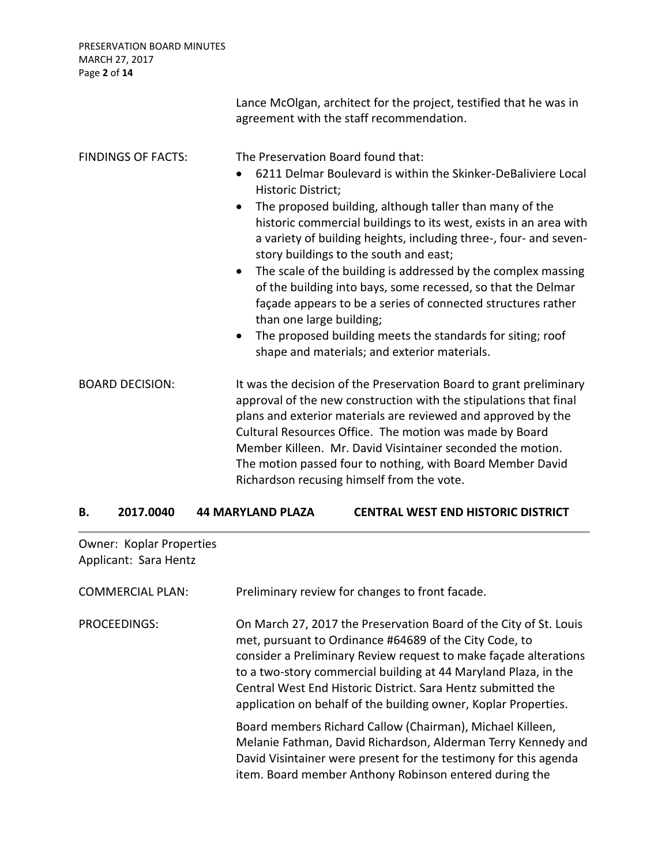PRESERVATION BOARD MINUTES MARCH 27, 2017 Page **2** of **14**

|                           | Lance McOlgan, architect for the project, testified that he was in<br>agreement with the staff recommendation.                                                                                                                                                                                                                                                                                                                                                                                                                                                                                                                                                                                                                                                          |
|---------------------------|-------------------------------------------------------------------------------------------------------------------------------------------------------------------------------------------------------------------------------------------------------------------------------------------------------------------------------------------------------------------------------------------------------------------------------------------------------------------------------------------------------------------------------------------------------------------------------------------------------------------------------------------------------------------------------------------------------------------------------------------------------------------------|
| <b>FINDINGS OF FACTS:</b> | The Preservation Board found that:<br>6211 Delmar Boulevard is within the Skinker-DeBaliviere Local<br>$\bullet$<br>Historic District;<br>The proposed building, although taller than many of the<br>$\bullet$<br>historic commercial buildings to its west, exists in an area with<br>a variety of building heights, including three-, four- and seven-<br>story buildings to the south and east;<br>The scale of the building is addressed by the complex massing<br>$\bullet$<br>of the building into bays, some recessed, so that the Delmar<br>façade appears to be a series of connected structures rather<br>than one large building;<br>The proposed building meets the standards for siting; roof<br>$\bullet$<br>shape and materials; and exterior materials. |
| <b>BOARD DECISION:</b>    | It was the decision of the Preservation Board to grant preliminary<br>approval of the new construction with the stipulations that final<br>plans and exterior materials are reviewed and approved by the<br>Cultural Resources Office. The motion was made by Board<br>Member Killeen. Mr. David Visintainer seconded the motion.<br>The motion passed four to nothing, with Board Member David<br>Richardson recusing himself from the vote.                                                                                                                                                                                                                                                                                                                           |

|  |  | 2017.0040 | 44 MARYLAND PLAZA | <b>CENTRAL WEST END HISTORIC DISTRICT</b> |
|--|--|-----------|-------------------|-------------------------------------------|
|--|--|-----------|-------------------|-------------------------------------------|

Owner: Koplar Properties Applicant: Sara Hentz

| <b>COMMERCIAL PLAN:</b> | Preliminary review for changes to front facade.                                                                                                                                                                                                                                                                                                                                                       |
|-------------------------|-------------------------------------------------------------------------------------------------------------------------------------------------------------------------------------------------------------------------------------------------------------------------------------------------------------------------------------------------------------------------------------------------------|
| PROCEEDINGS:            | On March 27, 2017 the Preservation Board of the City of St. Louis<br>met, pursuant to Ordinance #64689 of the City Code, to<br>consider a Preliminary Review request to make façade alterations<br>to a two-story commercial building at 44 Maryland Plaza, in the<br>Central West End Historic District. Sara Hentz submitted the<br>application on behalf of the building owner, Koplar Properties. |
|                         | Board members Richard Callow (Chairman), Michael Killeen,<br>Melanie Fathman, David Richardson, Alderman Terry Kennedy and<br>David Visintainer were present for the testimony for this agenda<br>item. Board member Anthony Robinson entered during the                                                                                                                                              |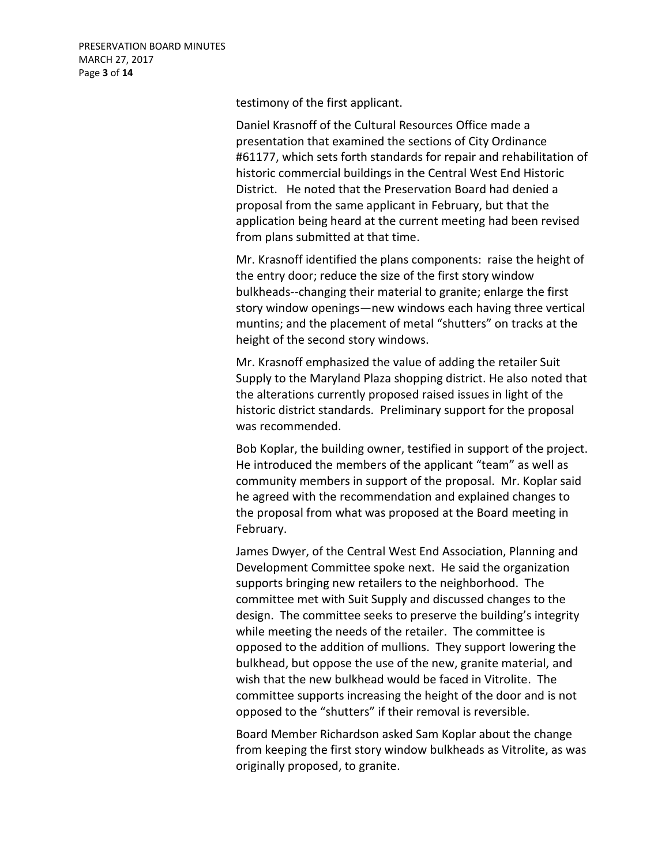testimony of the first applicant.

Daniel Krasnoff of the Cultural Resources Office made a presentation that examined the sections of City Ordinance #61177, which sets forth standards for repair and rehabilitation of historic commercial buildings in the Central West End Historic District. He noted that the Preservation Board had denied a proposal from the same applicant in February, but that the application being heard at the current meeting had been revised from plans submitted at that time.

Mr. Krasnoff identified the plans components: raise the height of the entry door; reduce the size of the first story window bulkheads--changing their material to granite; enlarge the first story window openings—new windows each having three vertical muntins; and the placement of metal "shutters" on tracks at the height of the second story windows.

Mr. Krasnoff emphasized the value of adding the retailer Suit Supply to the Maryland Plaza shopping district. He also noted that the alterations currently proposed raised issues in light of the historic district standards. Preliminary support for the proposal was recommended.

Bob Koplar, the building owner, testified in support of the project. He introduced the members of the applicant "team" as well as community members in support of the proposal. Mr. Koplar said he agreed with the recommendation and explained changes to the proposal from what was proposed at the Board meeting in February.

James Dwyer, of the Central West End Association, Planning and Development Committee spoke next. He said the organization supports bringing new retailers to the neighborhood. The committee met with Suit Supply and discussed changes to the design. The committee seeks to preserve the building's integrity while meeting the needs of the retailer. The committee is opposed to the addition of mullions. They support lowering the bulkhead, but oppose the use of the new, granite material, and wish that the new bulkhead would be faced in Vitrolite. The committee supports increasing the height of the door and is not opposed to the "shutters" if their removal is reversible.

Board Member Richardson asked Sam Koplar about the change from keeping the first story window bulkheads as Vitrolite, as was originally proposed, to granite.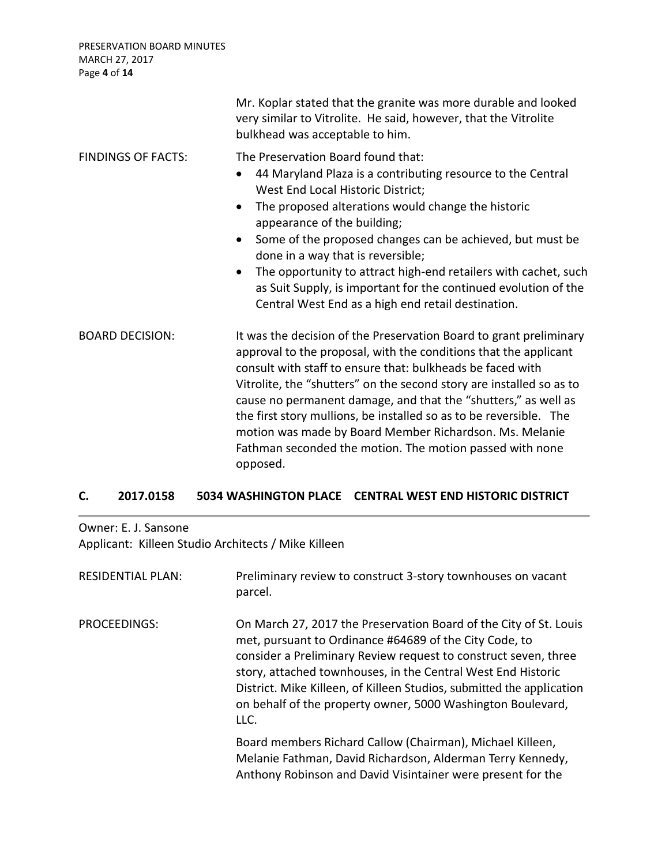PRESERVATION BOARD MINUTES MARCH 27, 2017 Page **4** of **14**

|                           | Mr. Koplar stated that the granite was more durable and looked<br>very similar to Vitrolite. He said, however, that the Vitrolite<br>bulkhead was acceptable to him.                                                                                                                                                                                                                                                                                                                                                                                                          |
|---------------------------|-------------------------------------------------------------------------------------------------------------------------------------------------------------------------------------------------------------------------------------------------------------------------------------------------------------------------------------------------------------------------------------------------------------------------------------------------------------------------------------------------------------------------------------------------------------------------------|
| <b>FINDINGS OF FACTS:</b> | The Preservation Board found that:<br>44 Maryland Plaza is a contributing resource to the Central<br>$\bullet$<br>West End Local Historic District;<br>The proposed alterations would change the historic<br>$\bullet$<br>appearance of the building;<br>Some of the proposed changes can be achieved, but must be<br>$\bullet$<br>done in a way that is reversible;<br>The opportunity to attract high-end retailers with cachet, such<br>$\bullet$<br>as Suit Supply, is important for the continued evolution of the<br>Central West End as a high end retail destination. |
| <b>BOARD DECISION:</b>    | It was the decision of the Preservation Board to grant preliminary<br>approval to the proposal, with the conditions that the applicant<br>consult with staff to ensure that: bulkheads be faced with<br>Vitrolite, the "shutters" on the second story are installed so as to<br>cause no permanent damage, and that the "shutters," as well as<br>the first story mullions, be installed so as to be reversible. The<br>motion was made by Board Member Richardson. Ms. Melanie<br>Fathman seconded the motion. The motion passed with none<br>opposed.                       |

# **C. 2017.0158 5034 WASHINGTON PLACE CENTRAL WEST END HISTORIC DISTRICT**

Owner: E. J. Sansone Applicant: Killeen Studio Architects / Mike Killeen

| <b>RESIDENTIAL PLAN:</b> | Preliminary review to construct 3-story townhouses on vacant<br>parcel.                                                                                                                                                                                                                                                                                                                                        |
|--------------------------|----------------------------------------------------------------------------------------------------------------------------------------------------------------------------------------------------------------------------------------------------------------------------------------------------------------------------------------------------------------------------------------------------------------|
| PROCEEDINGS:             | On March 27, 2017 the Preservation Board of the City of St. Louis<br>met, pursuant to Ordinance #64689 of the City Code, to<br>consider a Preliminary Review request to construct seven, three<br>story, attached townhouses, in the Central West End Historic<br>District. Mike Killeen, of Killeen Studios, submitted the application<br>on behalf of the property owner, 5000 Washington Boulevard,<br>LLC. |
|                          | Board members Richard Callow (Chairman), Michael Killeen,<br>Melanie Fathman, David Richardson, Alderman Terry Kennedy,<br>Anthony Robinson and David Visintainer were present for the                                                                                                                                                                                                                         |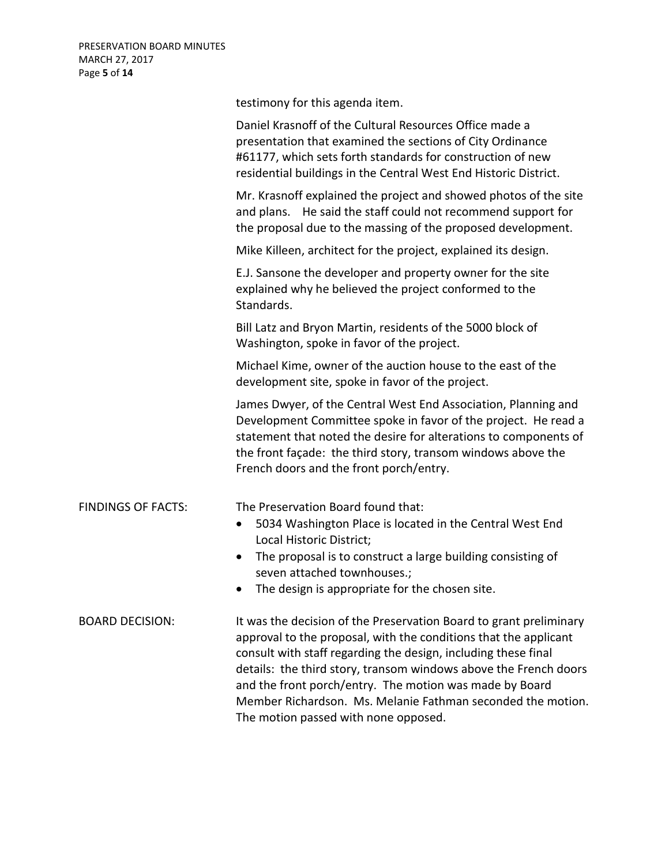|                           | testimony for this agenda item.                                                                                                                                                                                                                                                                                                                                                                                                                |
|---------------------------|------------------------------------------------------------------------------------------------------------------------------------------------------------------------------------------------------------------------------------------------------------------------------------------------------------------------------------------------------------------------------------------------------------------------------------------------|
|                           | Daniel Krasnoff of the Cultural Resources Office made a<br>presentation that examined the sections of City Ordinance<br>#61177, which sets forth standards for construction of new<br>residential buildings in the Central West End Historic District.                                                                                                                                                                                         |
|                           | Mr. Krasnoff explained the project and showed photos of the site<br>and plans. He said the staff could not recommend support for<br>the proposal due to the massing of the proposed development.                                                                                                                                                                                                                                               |
|                           | Mike Killeen, architect for the project, explained its design.                                                                                                                                                                                                                                                                                                                                                                                 |
|                           | E.J. Sansone the developer and property owner for the site<br>explained why he believed the project conformed to the<br>Standards.                                                                                                                                                                                                                                                                                                             |
|                           | Bill Latz and Bryon Martin, residents of the 5000 block of<br>Washington, spoke in favor of the project.                                                                                                                                                                                                                                                                                                                                       |
|                           | Michael Kime, owner of the auction house to the east of the<br>development site, spoke in favor of the project.                                                                                                                                                                                                                                                                                                                                |
|                           | James Dwyer, of the Central West End Association, Planning and<br>Development Committee spoke in favor of the project. He read a<br>statement that noted the desire for alterations to components of<br>the front façade: the third story, transom windows above the<br>French doors and the front porch/entry.                                                                                                                                |
| <b>FINDINGS OF FACTS:</b> | The Preservation Board found that:<br>5034 Washington Place is located in the Central West End<br>٠<br>Local Historic District;                                                                                                                                                                                                                                                                                                                |
|                           | The proposal is to construct a large building consisting of<br>$\bullet$<br>seven attached townhouses.;<br>The design is appropriate for the chosen site.                                                                                                                                                                                                                                                                                      |
|                           |                                                                                                                                                                                                                                                                                                                                                                                                                                                |
| <b>BOARD DECISION:</b>    | It was the decision of the Preservation Board to grant preliminary<br>approval to the proposal, with the conditions that the applicant<br>consult with staff regarding the design, including these final<br>details: the third story, transom windows above the French doors<br>and the front porch/entry. The motion was made by Board<br>Member Richardson. Ms. Melanie Fathman seconded the motion.<br>The motion passed with none opposed. |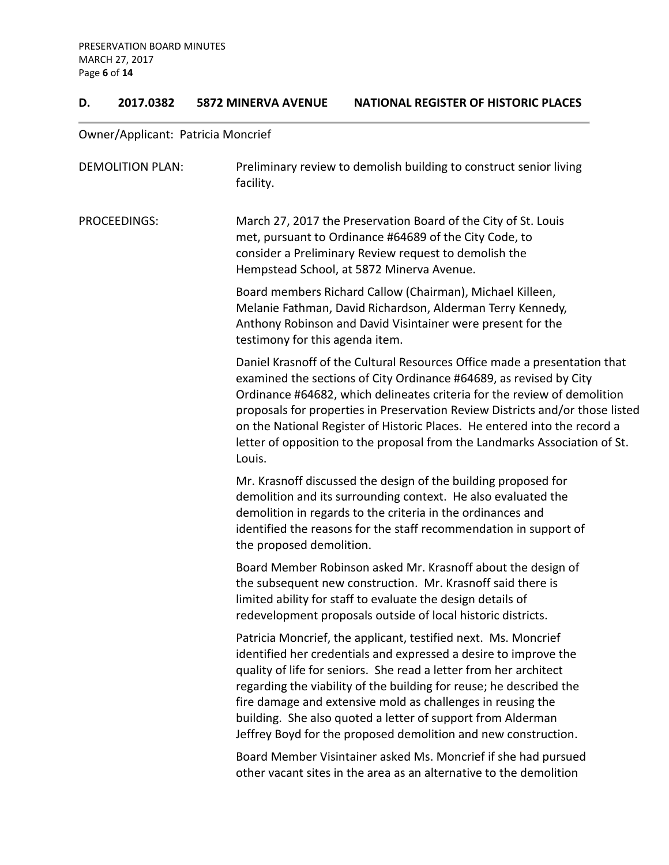### **D. 2017.0382 5872 MINERVA AVENUE NATIONAL REGISTER OF HISTORIC PLACES**

## Owner/Applicant: Patricia Moncrief

| <b>DEMOLITION PLAN:</b> | Preliminary review to demolish building to construct senior living<br>facility.                                                                                                                                                                                                                                                                                                                                                                                                   |
|-------------------------|-----------------------------------------------------------------------------------------------------------------------------------------------------------------------------------------------------------------------------------------------------------------------------------------------------------------------------------------------------------------------------------------------------------------------------------------------------------------------------------|
| PROCEEDINGS:            | March 27, 2017 the Preservation Board of the City of St. Louis<br>met, pursuant to Ordinance #64689 of the City Code, to<br>consider a Preliminary Review request to demolish the<br>Hempstead School, at 5872 Minerva Avenue.                                                                                                                                                                                                                                                    |
|                         | Board members Richard Callow (Chairman), Michael Killeen,<br>Melanie Fathman, David Richardson, Alderman Terry Kennedy,<br>Anthony Robinson and David Visintainer were present for the<br>testimony for this agenda item.                                                                                                                                                                                                                                                         |
|                         | Daniel Krasnoff of the Cultural Resources Office made a presentation that<br>examined the sections of City Ordinance #64689, as revised by City<br>Ordinance #64682, which delineates criteria for the review of demolition<br>proposals for properties in Preservation Review Districts and/or those listed<br>on the National Register of Historic Places. He entered into the record a<br>letter of opposition to the proposal from the Landmarks Association of St.<br>Louis. |
|                         | Mr. Krasnoff discussed the design of the building proposed for<br>demolition and its surrounding context. He also evaluated the<br>demolition in regards to the criteria in the ordinances and<br>identified the reasons for the staff recommendation in support of<br>the proposed demolition.                                                                                                                                                                                   |
|                         | Board Member Robinson asked Mr. Krasnoff about the design of<br>the subsequent new construction. Mr. Krasnoff said there is<br>limited ability for staff to evaluate the design details of<br>redevelopment proposals outside of local historic districts.                                                                                                                                                                                                                        |
|                         | Patricia Moncrief, the applicant, testified next. Ms. Moncrief<br>identified her credentials and expressed a desire to improve the<br>quality of life for seniors. She read a letter from her architect<br>regarding the viability of the building for reuse; he described the<br>fire damage and extensive mold as challenges in reusing the<br>building. She also quoted a letter of support from Alderman<br>Jeffrey Boyd for the proposed demolition and new construction.    |
|                         | Board Member Visintainer asked Ms. Moncrief if she had pursued<br>other vacant sites in the area as an alternative to the demolition                                                                                                                                                                                                                                                                                                                                              |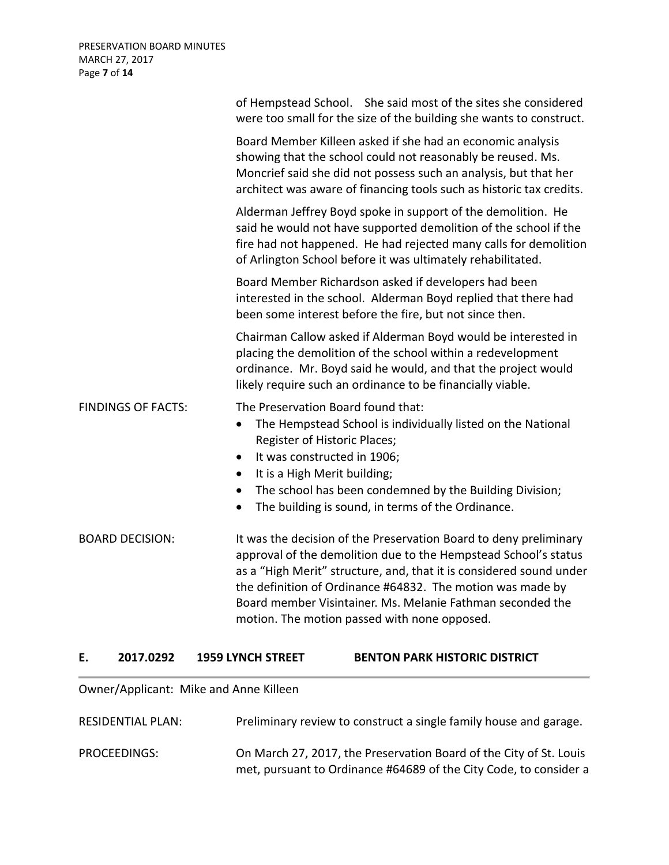|                           | of Hempstead School. She said most of the sites she considered<br>were too small for the size of the building she wants to construct.                                                                                                                                                                                                                                                   |
|---------------------------|-----------------------------------------------------------------------------------------------------------------------------------------------------------------------------------------------------------------------------------------------------------------------------------------------------------------------------------------------------------------------------------------|
|                           | Board Member Killeen asked if she had an economic analysis<br>showing that the school could not reasonably be reused. Ms.<br>Moncrief said she did not possess such an analysis, but that her<br>architect was aware of financing tools such as historic tax credits.                                                                                                                   |
|                           | Alderman Jeffrey Boyd spoke in support of the demolition. He<br>said he would not have supported demolition of the school if the<br>fire had not happened. He had rejected many calls for demolition<br>of Arlington School before it was ultimately rehabilitated.                                                                                                                     |
|                           | Board Member Richardson asked if developers had been<br>interested in the school. Alderman Boyd replied that there had<br>been some interest before the fire, but not since then.                                                                                                                                                                                                       |
|                           | Chairman Callow asked if Alderman Boyd would be interested in<br>placing the demolition of the school within a redevelopment<br>ordinance. Mr. Boyd said he would, and that the project would<br>likely require such an ordinance to be financially viable.                                                                                                                             |
| <b>FINDINGS OF FACTS:</b> | The Preservation Board found that:<br>The Hempstead School is individually listed on the National<br>$\bullet$<br>Register of Historic Places;<br>It was constructed in 1906;<br>$\bullet$<br>It is a High Merit building;<br>$\bullet$<br>The school has been condemned by the Building Division;<br>$\bullet$<br>The building is sound, in terms of the Ordinance.<br>$\bullet$       |
| <b>BOARD DECISION:</b>    | It was the decision of the Preservation Board to deny preliminary<br>approval of the demolition due to the Hempstead School's status<br>as a "High Merit" structure, and, that it is considered sound under<br>the definition of Ordinance #64832. The motion was made by<br>Board member Visintainer. Ms. Melanie Fathman seconded the<br>motion. The motion passed with none opposed. |
|                           | $\mathbf{A}$ by HICTABLA bicTBLAT                                                                                                                                                                                                                                                                                                                                                       |

### **E. 2017.0292 1959 LYNCH STREET BENTON PARK HISTORIC DISTRICT**

Owner/Applicant: Mike and Anne Killeen

| RESIDENTIAL PLAN: | Preliminary review to construct a single family house and garage.                                                                       |
|-------------------|-----------------------------------------------------------------------------------------------------------------------------------------|
| PROCEEDINGS:      | On March 27, 2017, the Preservation Board of the City of St. Louis<br>met, pursuant to Ordinance #64689 of the City Code, to consider a |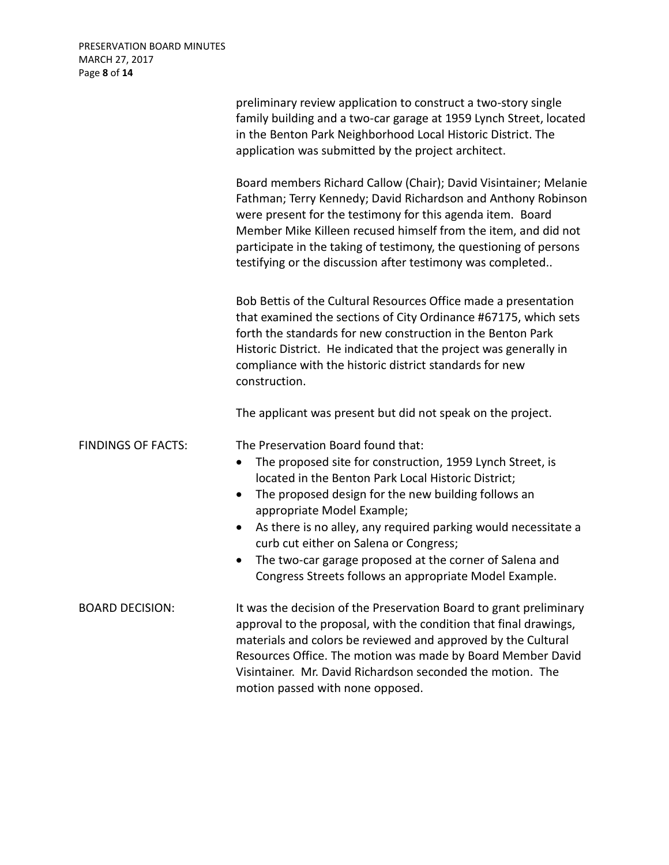|                           | preliminary review application to construct a two-story single<br>family building and a two-car garage at 1959 Lynch Street, located<br>in the Benton Park Neighborhood Local Historic District. The<br>application was submitted by the project architect.                                                                                                                                                                                                            |
|---------------------------|------------------------------------------------------------------------------------------------------------------------------------------------------------------------------------------------------------------------------------------------------------------------------------------------------------------------------------------------------------------------------------------------------------------------------------------------------------------------|
|                           | Board members Richard Callow (Chair); David Visintainer; Melanie<br>Fathman; Terry Kennedy; David Richardson and Anthony Robinson<br>were present for the testimony for this agenda item. Board<br>Member Mike Killeen recused himself from the item, and did not<br>participate in the taking of testimony, the questioning of persons<br>testifying or the discussion after testimony was completed                                                                  |
|                           | Bob Bettis of the Cultural Resources Office made a presentation<br>that examined the sections of City Ordinance #67175, which sets<br>forth the standards for new construction in the Benton Park<br>Historic District. He indicated that the project was generally in<br>compliance with the historic district standards for new<br>construction.                                                                                                                     |
|                           | The applicant was present but did not speak on the project.                                                                                                                                                                                                                                                                                                                                                                                                            |
| <b>FINDINGS OF FACTS:</b> | The Preservation Board found that:<br>The proposed site for construction, 1959 Lynch Street, is<br>$\bullet$<br>located in the Benton Park Local Historic District;<br>The proposed design for the new building follows an<br>$\bullet$<br>appropriate Model Example;<br>As there is no alley, any required parking would necessitate a<br>$\bullet$<br>curb cut either on Salena or Congress;<br>The two-car garage proposed at the corner of Salena and<br>$\bullet$ |
| <b>BOARD DECISION:</b>    | Congress Streets follows an appropriate Model Example.<br>It was the decision of the Preservation Board to grant preliminary<br>approval to the proposal, with the condition that final drawings,<br>materials and colors be reviewed and approved by the Cultural<br>Resources Office. The motion was made by Board Member David<br>Visintainer. Mr. David Richardson seconded the motion. The<br>motion passed with none opposed.                                    |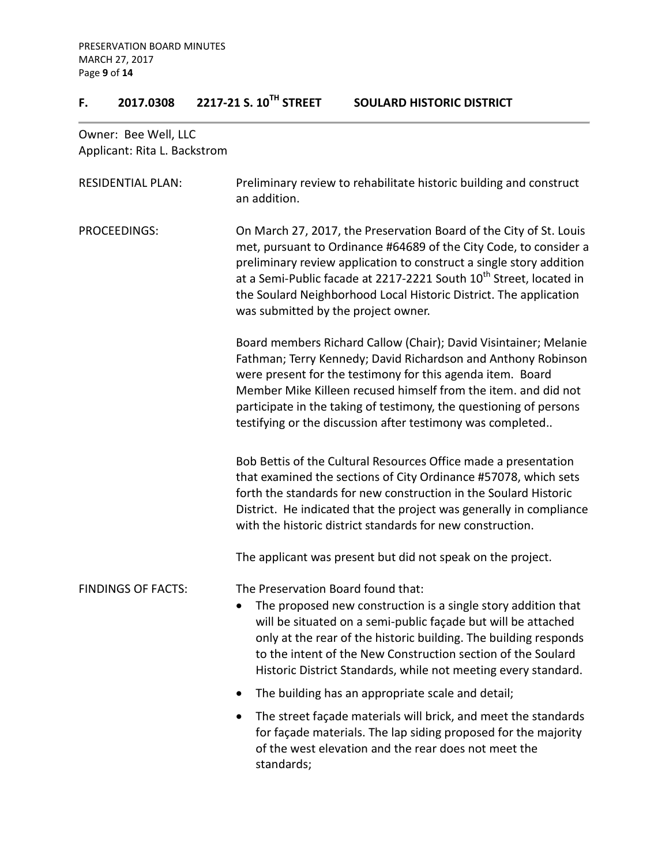# **F. 2017.0308 2217-21 S. 10TH STREET SOULARD HISTORIC DISTRICT**

Owner: Bee Well, LLC Applicant: Rita L. Backstrom

| <b>RESIDENTIAL PLAN:</b>  | Preliminary review to rehabilitate historic building and construct<br>an addition.                                                                                                                                                                                                                                                                                                                           |
|---------------------------|--------------------------------------------------------------------------------------------------------------------------------------------------------------------------------------------------------------------------------------------------------------------------------------------------------------------------------------------------------------------------------------------------------------|
| <b>PROCEEDINGS:</b>       | On March 27, 2017, the Preservation Board of the City of St. Louis<br>met, pursuant to Ordinance #64689 of the City Code, to consider a<br>preliminary review application to construct a single story addition<br>at a Semi-Public facade at 2217-2221 South 10 <sup>th</sup> Street, located in<br>the Soulard Neighborhood Local Historic District. The application<br>was submitted by the project owner. |
|                           | Board members Richard Callow (Chair); David Visintainer; Melanie<br>Fathman; Terry Kennedy; David Richardson and Anthony Robinson<br>were present for the testimony for this agenda item. Board<br>Member Mike Killeen recused himself from the item. and did not<br>participate in the taking of testimony, the questioning of persons<br>testifying or the discussion after testimony was completed        |
|                           | Bob Bettis of the Cultural Resources Office made a presentation<br>that examined the sections of City Ordinance #57078, which sets<br>forth the standards for new construction in the Soulard Historic<br>District. He indicated that the project was generally in compliance<br>with the historic district standards for new construction.                                                                  |
|                           | The applicant was present but did not speak on the project.                                                                                                                                                                                                                                                                                                                                                  |
| <b>FINDINGS OF FACTS:</b> | The Preservation Board found that:<br>The proposed new construction is a single story addition that<br>$\bullet$<br>will be situated on a semi-public façade but will be attached<br>only at the rear of the historic building. The building responds<br>to the intent of the New Construction section of the Soulard<br>Historic District Standards, while not meeting every standard.                      |
|                           | The building has an appropriate scale and detail;                                                                                                                                                                                                                                                                                                                                                            |
|                           | The street façade materials will brick, and meet the standards<br>$\bullet$<br>for façade materials. The lap siding proposed for the majority<br>of the west elevation and the rear does not meet the<br>standards;                                                                                                                                                                                          |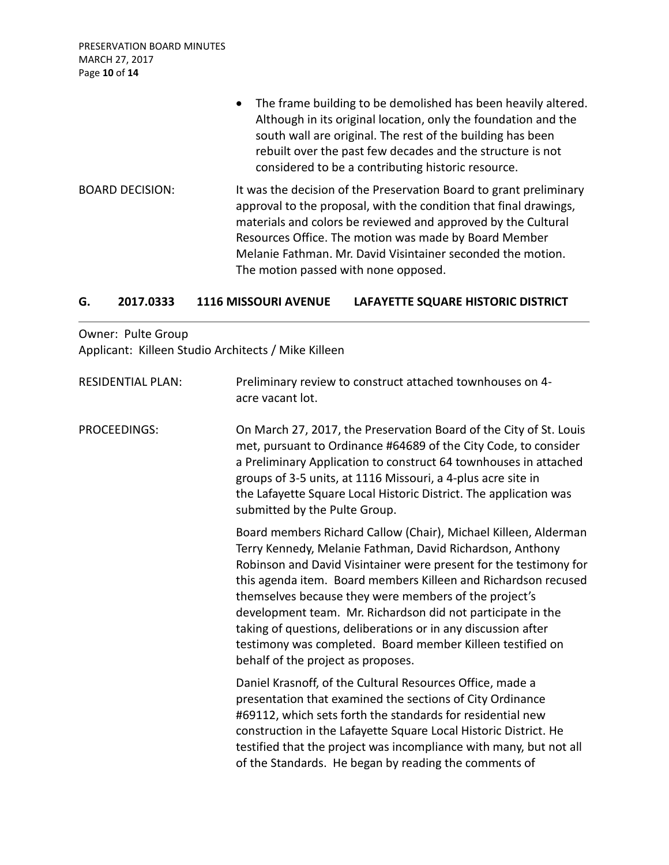PRESERVATION BOARD MINUTES MARCH 27, 2017 Page **10** of **14**

|                        | The frame building to be demolished has been heavily altered.<br>$\bullet$<br>Although in its original location, only the foundation and the<br>south wall are original. The rest of the building has been<br>rebuilt over the past few decades and the structure is not<br>considered to be a contributing historic resource.                                           |
|------------------------|--------------------------------------------------------------------------------------------------------------------------------------------------------------------------------------------------------------------------------------------------------------------------------------------------------------------------------------------------------------------------|
| <b>BOARD DECISION:</b> | It was the decision of the Preservation Board to grant preliminary<br>approval to the proposal, with the condition that final drawings,<br>materials and colors be reviewed and approved by the Cultural<br>Resources Office. The motion was made by Board Member<br>Melanie Fathman. Mr. David Visintainer seconded the motion.<br>The motion passed with none opposed. |

### **G. 2017.0333 1116 MISSOURI AVENUE LAFAYETTE SQUARE HISTORIC DISTRICT**

Owner: Pulte Group Applicant: Killeen Studio Architects / Mike Killeen

| <b>RESIDENTIAL PLAN:</b> | Preliminary review to construct attached townhouses on 4-<br>acre vacant lot.                                                                                                                                                                                                                                                                                                                                                                                                                                                                                    |
|--------------------------|------------------------------------------------------------------------------------------------------------------------------------------------------------------------------------------------------------------------------------------------------------------------------------------------------------------------------------------------------------------------------------------------------------------------------------------------------------------------------------------------------------------------------------------------------------------|
| <b>PROCEEDINGS:</b>      | On March 27, 2017, the Preservation Board of the City of St. Louis<br>met, pursuant to Ordinance #64689 of the City Code, to consider<br>a Preliminary Application to construct 64 townhouses in attached<br>groups of 3-5 units, at 1116 Missouri, a 4-plus acre site in<br>the Lafayette Square Local Historic District. The application was<br>submitted by the Pulte Group.                                                                                                                                                                                  |
|                          | Board members Richard Callow (Chair), Michael Killeen, Alderman<br>Terry Kennedy, Melanie Fathman, David Richardson, Anthony<br>Robinson and David Visintainer were present for the testimony for<br>this agenda item. Board members Killeen and Richardson recused<br>themselves because they were members of the project's<br>development team. Mr. Richardson did not participate in the<br>taking of questions, deliberations or in any discussion after<br>testimony was completed. Board member Killeen testified on<br>behalf of the project as proposes. |
|                          | Daniel Krasnoff, of the Cultural Resources Office, made a<br>presentation that examined the sections of City Ordinance<br>#69112, which sets forth the standards for residential new<br>construction in the Lafayette Square Local Historic District. He<br>testified that the project was incompliance with many, but not all<br>of the Standards. He began by reading the comments of                                                                                                                                                                          |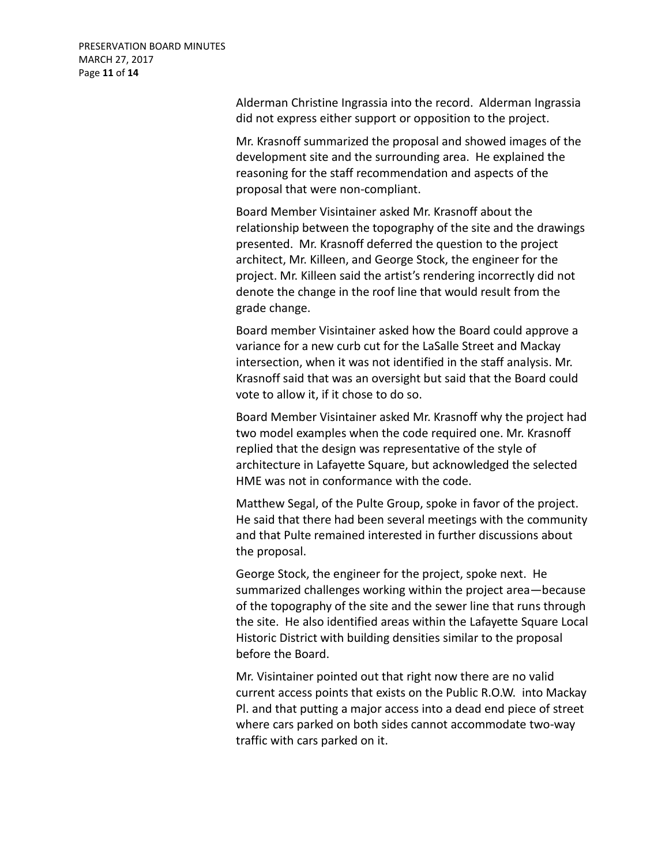Alderman Christine Ingrassia into the record. Alderman Ingrassia did not express either support or opposition to the project.

Mr. Krasnoff summarized the proposal and showed images of the development site and the surrounding area. He explained the reasoning for the staff recommendation and aspects of the proposal that were non-compliant.

Board Member Visintainer asked Mr. Krasnoff about the relationship between the topography of the site and the drawings presented. Mr. Krasnoff deferred the question to the project architect, Mr. Killeen, and George Stock, the engineer for the project. Mr. Killeen said the artist's rendering incorrectly did not denote the change in the roof line that would result from the grade change.

Board member Visintainer asked how the Board could approve a variance for a new curb cut for the LaSalle Street and Mackay intersection, when it was not identified in the staff analysis. Mr. Krasnoff said that was an oversight but said that the Board could vote to allow it, if it chose to do so.

Board Member Visintainer asked Mr. Krasnoff why the project had two model examples when the code required one. Mr. Krasnoff replied that the design was representative of the style of architecture in Lafayette Square, but acknowledged the selected HME was not in conformance with the code.

Matthew Segal, of the Pulte Group, spoke in favor of the project. He said that there had been several meetings with the community and that Pulte remained interested in further discussions about the proposal.

George Stock, the engineer for the project, spoke next. He summarized challenges working within the project area—because of the topography of the site and the sewer line that runs through the site. He also identified areas within the Lafayette Square Local Historic District with building densities similar to the proposal before the Board.

Mr. Visintainer pointed out that right now there are no valid current access points that exists on the Public R.O.W. into Mackay Pl. and that putting a major access into a dead end piece of street where cars parked on both sides cannot accommodate two-way traffic with cars parked on it.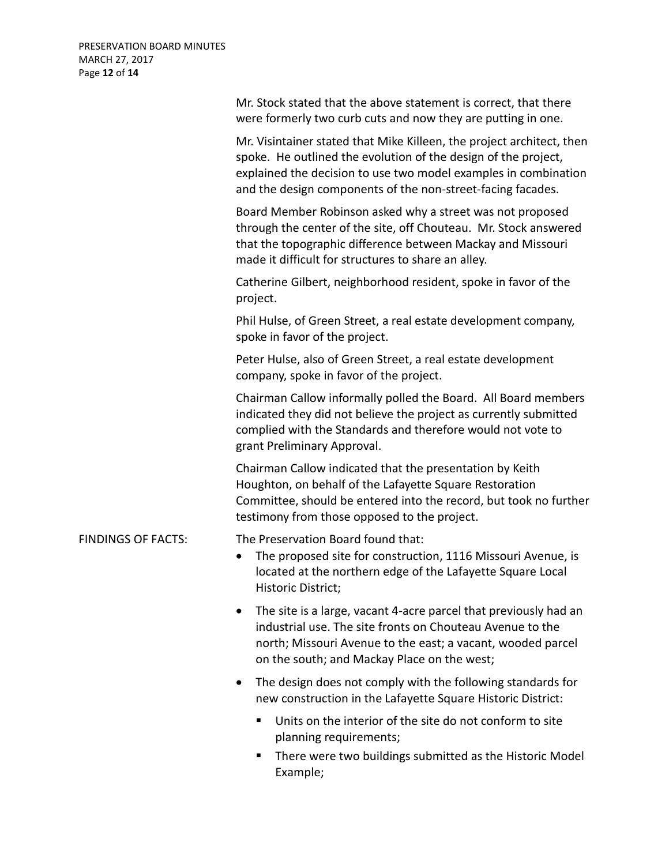|                           | Mr. Stock stated that the above statement is correct, that there<br>were formerly two curb cuts and now they are putting in one.                                                                                                                                          |
|---------------------------|---------------------------------------------------------------------------------------------------------------------------------------------------------------------------------------------------------------------------------------------------------------------------|
|                           | Mr. Visintainer stated that Mike Killeen, the project architect, then<br>spoke. He outlined the evolution of the design of the project,<br>explained the decision to use two model examples in combination<br>and the design components of the non-street-facing facades. |
|                           | Board Member Robinson asked why a street was not proposed<br>through the center of the site, off Chouteau. Mr. Stock answered<br>that the topographic difference between Mackay and Missouri<br>made it difficult for structures to share an alley.                       |
|                           | Catherine Gilbert, neighborhood resident, spoke in favor of the<br>project.                                                                                                                                                                                               |
|                           | Phil Hulse, of Green Street, a real estate development company,<br>spoke in favor of the project.                                                                                                                                                                         |
|                           | Peter Hulse, also of Green Street, a real estate development<br>company, spoke in favor of the project.                                                                                                                                                                   |
|                           | Chairman Callow informally polled the Board. All Board members<br>indicated they did not believe the project as currently submitted<br>complied with the Standards and therefore would not vote to<br>grant Preliminary Approval.                                         |
|                           | Chairman Callow indicated that the presentation by Keith<br>Houghton, on behalf of the Lafayette Square Restoration<br>Committee, should be entered into the record, but took no further<br>testimony from those opposed to the project.                                  |
| <b>FINDINGS OF FACTS:</b> | The Preservation Board found that:<br>The proposed site for construction, 1116 Missouri Avenue, is<br>$\bullet$<br>located at the northern edge of the Lafayette Square Local<br>Historic District;                                                                       |
|                           | The site is a large, vacant 4-acre parcel that previously had an<br>industrial use. The site fronts on Chouteau Avenue to the<br>north; Missouri Avenue to the east; a vacant, wooded parcel<br>on the south; and Mackay Place on the west;                               |
|                           | The design does not comply with the following standards for<br>٠<br>new construction in the Lafayette Square Historic District:                                                                                                                                           |
|                           | Units on the interior of the site do not conform to site<br>п<br>planning requirements;                                                                                                                                                                                   |
|                           | There were two buildings submitted as the Historic Model<br>п<br>Example;                                                                                                                                                                                                 |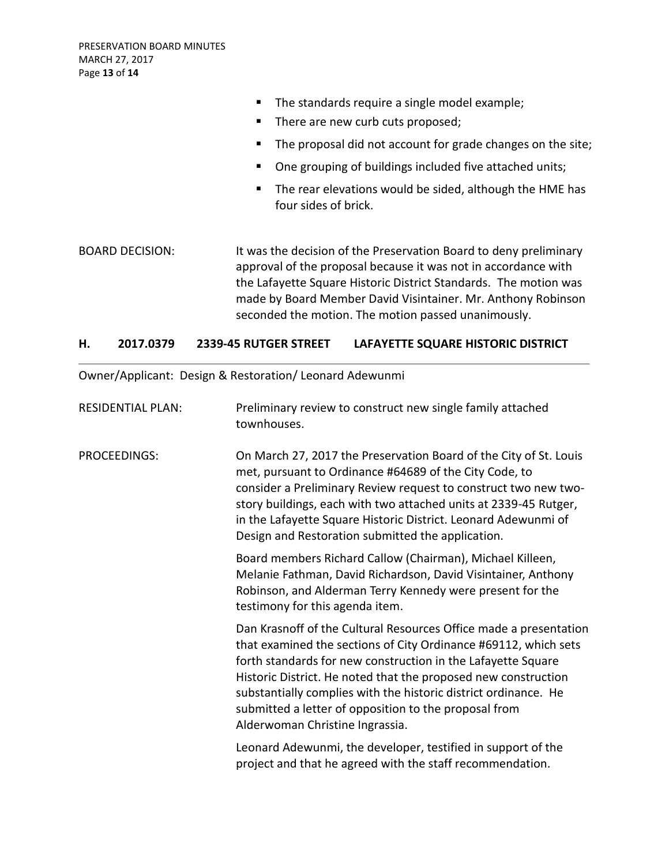- **The standards require a single model example;**
- There are new curb cuts proposed;
- The proposal did not account for grade changes on the site;
- One grouping of buildings included five attached units;
- The rear elevations would be sided, although the HME has four sides of brick.

BOARD DECISION: It was the decision of the Preservation Board to deny preliminary approval of the proposal because it was not in accordance with the Lafayette Square Historic District Standards. The motion was made by Board Member David Visintainer. Mr. Anthony Robinson seconded the motion. The motion passed unanimously.

#### **H. 2017.0379 2339-45 RUTGER STREET LAFAYETTE SQUARE HISTORIC DISTRICT**

Owner/Applicant: Design & Restoration/ Leonard Adewunmi

| <b>RESIDENTIAL PLAN:</b> | Preliminary review to construct new single family attached |
|--------------------------|------------------------------------------------------------|
|                          | townhouses.                                                |

PROCEEDINGS: On March 27, 2017 the Preservation Board of the City of St. Louis met, pursuant to Ordinance #64689 of the City Code, to consider a Preliminary Review request to construct two new twostory buildings, each with two attached units at 2339-45 Rutger, in the Lafayette Square Historic District. Leonard Adewunmi of Design and Restoration submitted the application.

> Board members Richard Callow (Chairman), Michael Killeen, Melanie Fathman, David Richardson, David Visintainer, Anthony Robinson, and Alderman Terry Kennedy were present for the testimony for this agenda item.

Dan Krasnoff of the Cultural Resources Office made a presentation that examined the sections of City Ordinance #69112, which sets forth standards for new construction in the Lafayette Square Historic District. He noted that the proposed new construction substantially complies with the historic district ordinance. He submitted a letter of opposition to the proposal from Alderwoman Christine Ingrassia.

Leonard Adewunmi, the developer, testified in support of the project and that he agreed with the staff recommendation.